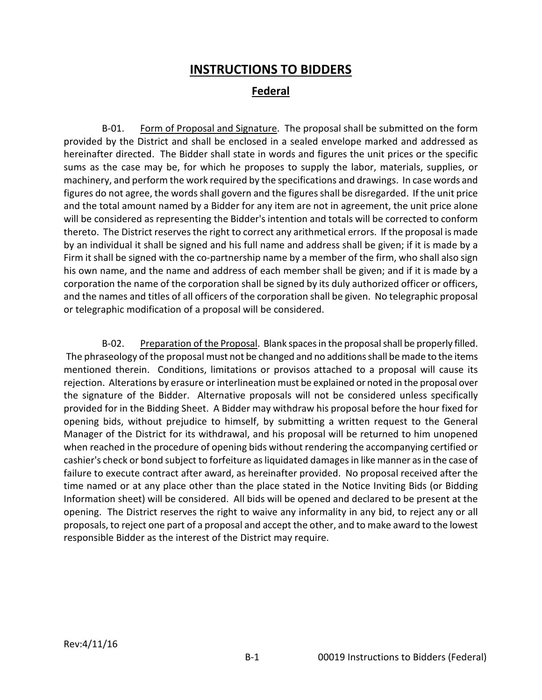## **INSTRUCTIONS TO BIDDERS**

## **Federal**

B-01. Form of Proposal and Signature. The proposal shall be submitted on the form provided by the District and shall be enclosed in a sealed envelope marked and addressed as hereinafter directed. The Bidder shall state in words and figures the unit prices or the specific sums as the case may be, for which he proposes to supply the labor, materials, supplies, or machinery, and perform the work required by the specifications and drawings. In case words and figures do not agree, the words shall govern and the figures shall be disregarded. If the unit price and the total amount named by a Bidder for any item are not in agreement, the unit price alone will be considered as representing the Bidder's intention and totals will be corrected to conform thereto. The District reserves the right to correct any arithmetical errors. If the proposal is made by an individual it shall be signed and his full name and address shall be given; if it is made by a Firm it shall be signed with the co-partnership name by a member of the firm, who shall also sign his own name, and the name and address of each member shall be given; and if it is made by a corporation the name of the corporation shall be signed by its duly authorized officer or officers, and the names and titles of all officers of the corporation shall be given. No telegraphic proposal or telegraphic modification of a proposal will be considered.

B-02. Preparation of the Proposal. Blank spaces in the proposal shall be properly filled. The phraseology of the proposal must not be changed and no additions shall be made to the items mentioned therein. Conditions, limitations or provisos attached to a proposal will cause its rejection. Alterations by erasure or interlineation must be explained or noted in the proposal over the signature of the Bidder. Alternative proposals will not be considered unless specifically provided for in the Bidding Sheet. A Bidder may withdraw his proposal before the hour fixed for opening bids, without prejudice to himself, by submitting a written request to the General Manager of the District for its withdrawal, and his proposal will be returned to him unopened when reached in the procedure of opening bids without rendering the accompanying certified or cashier's check or bond subject to forfeiture as liquidated damages in like manner as in the case of failure to execute contract after award, as hereinafter provided. No proposal received after the time named or at any place other than the place stated in the Notice Inviting Bids (or Bidding Information sheet) will be considered. All bids will be opened and declared to be present at the opening. The District reserves the right to waive any informality in any bid, to reject any or all proposals, to reject one part of a proposal and accept the other, and to make award to the lowest responsible Bidder as the interest of the District may require.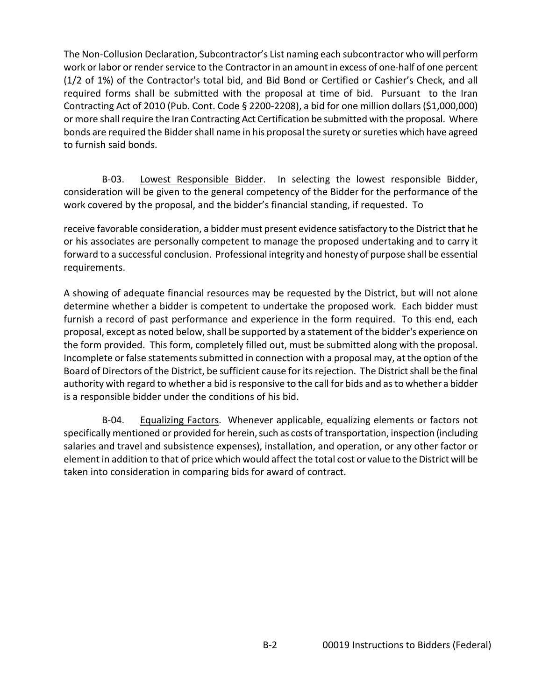The Non-Collusion Declaration, Subcontractor's List naming each subcontractor who will perform work or labor or render service to the Contractor in an amount in excess of one-half of one percent (1/2 of 1%) of the Contractor's total bid, and Bid Bond or Certified or Cashier's Check, and all required forms shall be submitted with the proposal at time of bid. Pursuant to the Iran Contracting Act of 2010 (Pub. Cont. Code § 2200-2208), a bid for one million dollars (\$1,000,000) or more shall require the Iran Contracting Act Certification be submitted with the proposal. Where bonds are required the Bidder shall name in his proposal the surety or sureties which have agreed to furnish said bonds.

B-03. Lowest Responsible Bidder. In selecting the lowest responsible Bidder, consideration will be given to the general competency of the Bidder for the performance of the work covered by the proposal, and the bidder's financial standing, if requested. To

receive favorable consideration, a bidder must present evidence satisfactory to the District that he or his associates are personally competent to manage the proposed undertaking and to carry it forward to a successful conclusion. Professional integrity and honesty of purpose shall be essential requirements.

A showing of adequate financial resources may be requested by the District, but will not alone determine whether a bidder is competent to undertake the proposed work. Each bidder must furnish a record of past performance and experience in the form required. To this end, each proposal, except as noted below, shall be supported by a statement of the bidder's experience on the form provided. This form, completely filled out, must be submitted along with the proposal. Incomplete or false statements submitted in connection with a proposal may, at the option of the Board of Directors of the District, be sufficient cause for its rejection. The District shall be the final authority with regard to whether a bid is responsive to the call for bids and as to whether a bidder is a responsible bidder under the conditions of his bid.

B-04. Equalizing Factors. Whenever applicable, equalizing elements or factors not specifically mentioned or provided for herein, such as costs of transportation, inspection (including salaries and travel and subsistence expenses), installation, and operation, or any other factor or element in addition to that of price which would affect the total cost or value to the District will be taken into consideration in comparing bids for award of contract.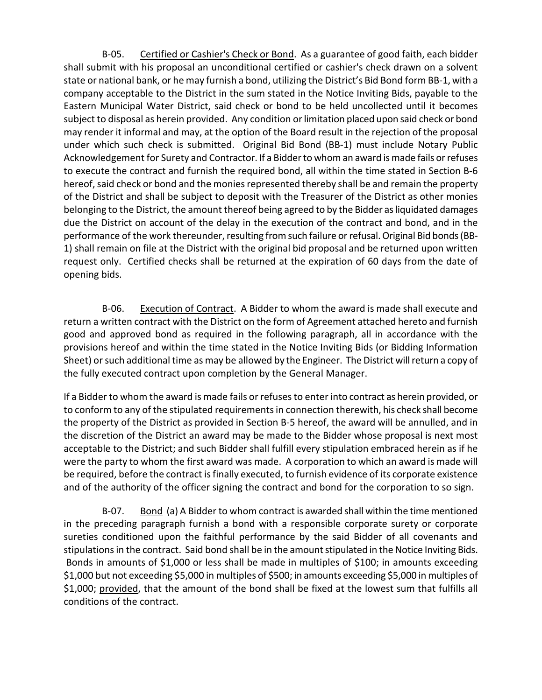B-05. Certified or Cashier's Check or Bond. As a guarantee of good faith, each bidder shall submit with his proposal an unconditional certified or cashier's check drawn on a solvent state or national bank, or he may furnish a bond, utilizing the District's Bid Bond form BB-1, with a company acceptable to the District in the sum stated in the Notice Inviting Bids, payable to the Eastern Municipal Water District, said check or bond to be held uncollected until it becomes subject to disposal as herein provided. Any condition or limitation placed upon said check or bond may render it informal and may, at the option of the Board result in the rejection of the proposal under which such check is submitted. Original Bid Bond (BB-1) must include Notary Public Acknowledgement for Surety and Contractor. If a Bidder to whom an award is made fails or refuses to execute the contract and furnish the required bond, all within the time stated in Section B-6 hereof, said check or bond and the monies represented thereby shall be and remain the property of the District and shall be subject to deposit with the Treasurer of the District as other monies belonging to the District, the amount thereof being agreed to by the Bidder as liquidated damages due the District on account of the delay in the execution of the contract and bond, and in the performance of the work thereunder, resulting from such failure orrefusal. Original Bid bonds (BB-1) shall remain on file at the District with the original bid proposal and be returned upon written request only. Certified checks shall be returned at the expiration of 60 days from the date of opening bids.

B-06. Execution of Contract. A Bidder to whom the award is made shall execute and return a written contract with the District on the form of Agreement attached hereto and furnish good and approved bond as required in the following paragraph, all in accordance with the provisions hereof and within the time stated in the Notice Inviting Bids (or Bidding Information Sheet) or such additional time as may be allowed by the Engineer. The District will return a copy of the fully executed contract upon completion by the General Manager.

If a Bidder to whom the award is made fails or refuses to enter into contract as herein provided, or to conform to any of the stipulated requirements in connection therewith, his check shall become the property of the District as provided in Section B-5 hereof, the award will be annulled, and in the discretion of the District an award may be made to the Bidder whose proposal is next most acceptable to the District; and such Bidder shall fulfill every stipulation embraced herein as if he were the party to whom the first award was made. A corporation to which an award is made will be required, before the contract is finally executed, to furnish evidence of its corporate existence and of the authority of the officer signing the contract and bond for the corporation to so sign.

B-07. Bond (a) A Bidder to whom contract is awarded shall within the time mentioned in the preceding paragraph furnish a bond with a responsible corporate surety or corporate sureties conditioned upon the faithful performance by the said Bidder of all covenants and stipulations in the contract. Said bond shall be in the amount stipulated in the Notice Inviting Bids. Bonds in amounts of \$1,000 or less shall be made in multiples of \$100; in amounts exceeding \$1,000 but not exceeding \$5,000 in multiples of \$500; in amounts exceeding \$5,000 in multiples of \$1,000; provided, that the amount of the bond shall be fixed at the lowest sum that fulfills all conditions of the contract.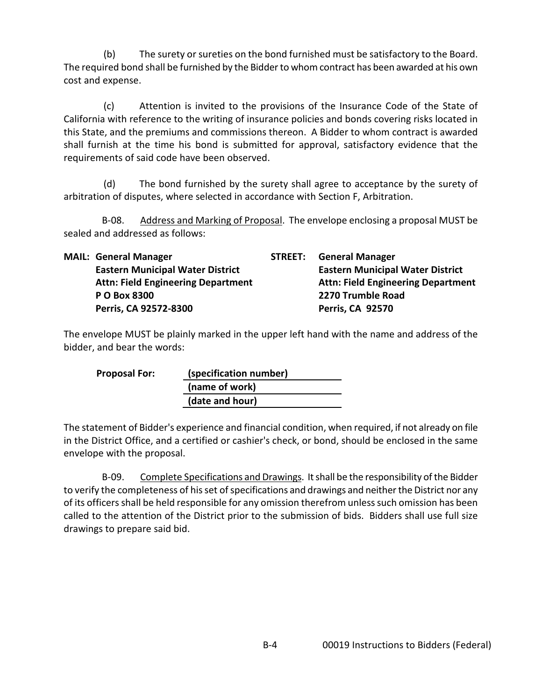(b) The surety or sureties on the bond furnished must be satisfactory to the Board. The required bond shall be furnished by the Bidder to whom contract has been awarded at his own cost and expense.

(c) Attention is invited to the provisions of the Insurance Code of the State of California with reference to the writing of insurance policies and bonds covering risks located in this State, and the premiums and commissions thereon. A Bidder to whom contract is awarded shall furnish at the time his bond is submitted for approval, satisfactory evidence that the requirements of said code have been observed.

(d) The bond furnished by the surety shall agree to acceptance by the surety of arbitration of disputes, where selected in accordance with Section F, Arbitration.

B-08. Address and Marking of Proposal. The envelope enclosing a proposal MUST be sealed and addressed as follows:

|  | <b>MAIL: General Manager</b>              |  | <b>STREET:</b> General Manager            |
|--|-------------------------------------------|--|-------------------------------------------|
|  | <b>Eastern Municipal Water District</b>   |  | <b>Eastern Municipal Water District</b>   |
|  | <b>Attn: Field Engineering Department</b> |  | <b>Attn: Field Engineering Department</b> |
|  | P O Box 8300                              |  | 2270 Trumble Road                         |
|  | Perris, CA 92572-8300                     |  | <b>Perris, CA 92570</b>                   |

The envelope MUST be plainly marked in the upper left hand with the name and address of the bidder, and bear the words:

| <b>Proposal For:</b> | (specification number) |  |  |
|----------------------|------------------------|--|--|
|                      | (name of work)         |  |  |
|                      | (date and hour)        |  |  |

The statement of Bidder's experience and financial condition, when required, if not already on file in the District Office, and a certified or cashier's check, or bond, should be enclosed in the same envelope with the proposal.

B-09. Complete Specifications and Drawings. It shall be the responsibility of the Bidder to verify the completeness of his set of specifications and drawings and neither the District nor any of its officers shall be held responsible for any omission therefrom unless such omission has been called to the attention of the District prior to the submission of bids. Bidders shall use full size drawings to prepare said bid.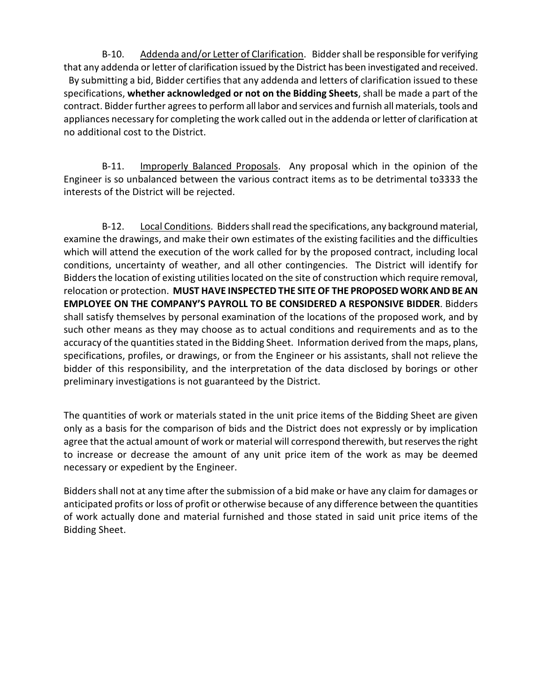B-10. Addenda and/or Letter of Clarification. Bidder shall be responsible for verifying that any addenda or letter of clarification issued by the District has been investigated and received. By submitting a bid, Bidder certifies that any addenda and letters of clarification issued to these specifications, **whether acknowledged or not on the Bidding Sheets**, shall be made a part of the contract. Bidder further agrees to perform all labor and services and furnish all materials, tools and appliances necessary for completing the work called out in the addenda or letter of clarification at no additional cost to the District.

B-11. Improperly Balanced Proposals. Any proposal which in the opinion of the Engineer is so unbalanced between the various contract items as to be detrimental to3333 the interests of the District will be rejected.

B-12. Local Conditions. Bidders shall read the specifications, any background material, examine the drawings, and make their own estimates of the existing facilities and the difficulties which will attend the execution of the work called for by the proposed contract, including local conditions, uncertainty of weather, and all other contingencies. The District will identify for Bidders the location of existing utilities located on the site of construction which require removal, relocation or protection. **MUST HAVE INSPECTED THE SITE OF THE PROPOSED WORK AND BE AN EMPLOYEE ON THE COMPANY'S PAYROLL TO BE CONSIDERED A RESPONSIVE BIDDER**. Bidders shall satisfy themselves by personal examination of the locations of the proposed work, and by such other means as they may choose as to actual conditions and requirements and as to the accuracy of the quantities stated in the Bidding Sheet. Information derived from the maps, plans, specifications, profiles, or drawings, or from the Engineer or his assistants, shall not relieve the bidder of this responsibility, and the interpretation of the data disclosed by borings or other preliminary investigations is not guaranteed by the District.

The quantities of work or materials stated in the unit price items of the Bidding Sheet are given only as a basis for the comparison of bids and the District does not expressly or by implication agree that the actual amount of work or material will correspond therewith, but reserves the right to increase or decrease the amount of any unit price item of the work as may be deemed necessary or expedient by the Engineer.

Bidders shall not at any time after the submission of a bid make or have any claim for damages or anticipated profits or loss of profit or otherwise because of any difference between the quantities of work actually done and material furnished and those stated in said unit price items of the Bidding Sheet.